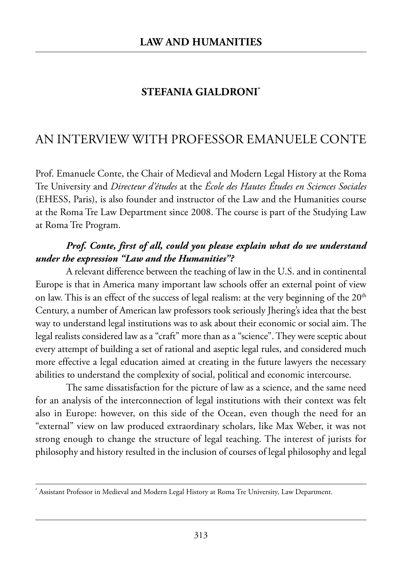## **STEFANIA GIALDRONI\***

# an interView with professor emanuele Conte

Prof. Emanuele Conte, the Chair of Medieval and Modern Legal History at the Roma Tre University and *Directeur d'études* at the École des Hautes Études en Sciences Sociales (ehess, paris), is also founder and instructor of the law and the humanities course at the Roma Tre Law Department since 2008. The course is part of the Studying Law at Roma Tre Program.

#### *Prof. Conte, first of all, could you please explain what do we understand under the expression "Law and the Humanities"?*

A relevant difference between the teaching of law in the U.S. and in continental Europe is that in America many important law schools offer an external point of view on law. This is an effect of the success of legal realism: at the very beginning of the 20<sup>th</sup> Century, a number of American law professors took seriously Jhering's idea that the best way to understand legal institutions was to ask about their economic or social aim. the legal realists considered law as a "craft" more than as a "science". They were sceptic about every attempt of building a set of rational and aseptic legal rules, and considered much more effective a legal education aimed at creating in the future lawyers the necessary abilities to understand the complexity of social, political and economic intercourse.

The same dissatisfaction for the picture of law as a science, and the same need for an analysis of the interconnection of legal institutions with their context was felt also in Europe: however, on this side of the Ocean, even though the need for an "external" view on law produced extraordinary scholars, like max weber, it was not strong enough to change the structure of legal teaching. The interest of jurists for philosophy and history resulted in the inclusion of courses of legal philosophy and legal

<sup>\*</sup> Assistant Professor in Medieval and Modern Legal History at Roma Tre University, Law Department.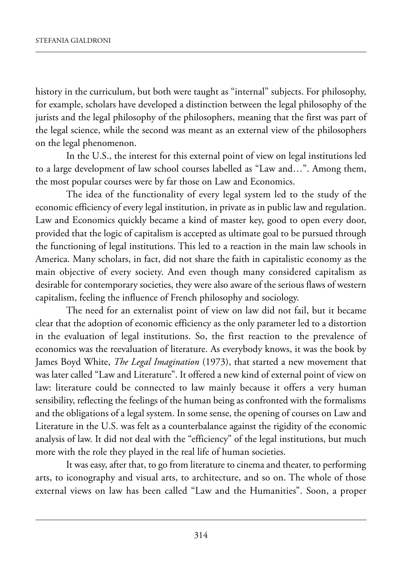history in the curriculum, but both were taught as "internal" subjects. for philosophy, for example, scholars have developed a distinction between the legal philosophy of the jurists and the legal philosophy of the philosophers, meaning that the first was part of the legal science, while the second was meant as an external view of the philosophers on the legal phenomenon.

In the U.S., the interest for this external point of view on legal institutions led to a large development of law school courses labelled as "Law and...". Among them, the most popular courses were by far those on Law and Economics.

The idea of the functionality of every legal system led to the study of the economic efficiency of every legal institution, in private as in public law and regulation. Law and Economics quickly became a kind of master key, good to open every door, provided that the logic of capitalism is accepted as ultimate goal to be pursued through the functioning of legal institutions. This led to a reaction in the main law schools in America. Many scholars, in fact, did not share the faith in capitalistic economy as the main objective of every society. And even though many considered capitalism as desirable for contemporary societies, they were also aware of the serious flaws of western capitalism, feeling the influence of french philosophy and sociology.

The need for an externalist point of view on law did not fail, but it became clear that the adoption of economic efficiency as the only parameter led to a distortion in the evaluation of legal institutions. so, the first reaction to the prevalence of economics was the reevaluation of literature. As everybody knows, it was the book by James Boyd white, *The Legal Imagination* (1973), that started a new movement that was later called "law and literature". it offered a new kind of external point of view on law: literature could be connected to law mainly because it offers a very human sensibility, reflecting the feelings of the human being as confronted with the formalisms and the obligations of a legal system. In some sense, the opening of courses on Law and Literature in the U.S. was felt as a counterbalance against the rigidity of the economic analysis of law. It did not deal with the "efficiency" of the legal institutions, but much more with the role they played in the real life of human societies.

It was easy, after that, to go from literature to cinema and theater, to performing arts, to iconography and visual arts, to architecture, and so on. The whole of those external views on law has been called "Law and the Humanities". Soon, a proper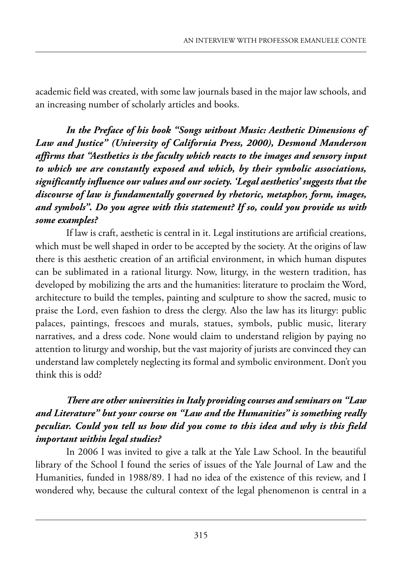academic field was created, with some law journals based in the major law schools, and an increasing number of scholarly articles and books.

*In the Preface of his book "Songs without Music: Aesthetic Dimensions of Law and Justice" (University of California Press, 2000), Desmond Manderson affirms that "Aesthetics is the faculty which reacts to the images and sensory input to which we are constantly exposed and which, by their symbolic associations, significantly influence our values and our society. 'Legal aesthetics' suggests that the discourse of law is fundamentally governed by rhetoric, metaphor, form, images, and symbols". Do you agree with this statement? If so, could you provide us with some examples?* 

If law is craft, aesthetic is central in it. Legal institutions are artificial creations, which must be well shaped in order to be accepted by the society. At the origins of law there is this aesthetic creation of an artificial environment, in which human disputes can be sublimated in a rational liturgy. Now, liturgy, in the western tradition, has developed by mobilizing the arts and the humanities: literature to proclaim the word, architecture to build the temples, painting and sculpture to show the sacred, music to praise the Lord, even fashion to dress the clergy. Also the law has its liturgy: public palaces, paintings, frescoes and murals, statues, symbols, public music, literary narratives, and a dress code. None would claim to understand religion by paying no attention to liturgy and worship, but the vast majority of jurists are convinced they can understand law completely neglecting its formal and symbolic environment. Don't you think this is odd?

### *There are other universities in Italy providing courses and seminars on "Law and Literature" but your course on "Law and the Humanities" is something really peculiar. Could you tell us how did you come to this idea and why is this field important within legal studies?*

In 2006 I was invited to give a talk at the Yale Law School. In the beautiful library of the School I found the series of issues of the Yale Journal of Law and the Humanities, funded in 1988/89. I had no idea of the existence of this review, and I wondered why, because the cultural context of the legal phenomenon is central in a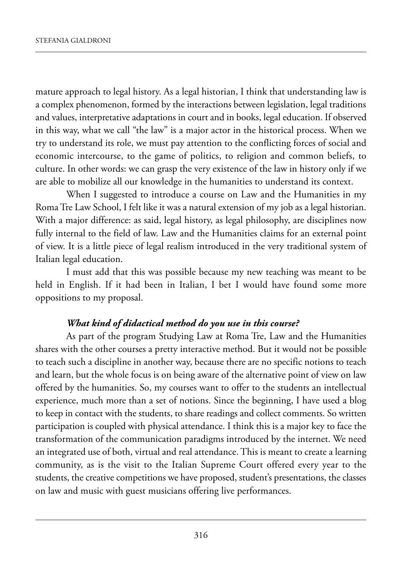mature approach to legal history. As a legal historian, I think that understanding law is a complex phenomenon, formed by the interactions between legislation, legal traditions and values, interpretative adaptations in court and in books, legal education. if observed in this way, what we call "the law" is a major actor in the historical process. when we try to understand its role, we must pay attention to the conflicting forces of social and economic intercourse, to the game of politics, to religion and common beliefs, to culture. In other words: we can grasp the very existence of the law in history only if we are able to mobilize all our knowledge in the humanities to understand its context.

When I suggested to introduce a course on Law and the Humanities in my Roma Tre Law School, I felt like it was a natural extension of my job as a legal historian. with a major difference: as said, legal history, as legal philosophy, are disciplines now fully internal to the field of law. Law and the Humanities claims for an external point of view. it is a little piece of legal realism introduced in the very traditional system of Italian legal education.

I must add that this was possible because my new teaching was meant to be held in English. If it had been in Italian, I bet I would have found some more oppositions to my proposal.

#### *What kind of didactical method do you use in this course?*

As part of the program Studying Law at Roma Tre, Law and the Humanities shares with the other courses a pretty interactive method. But it would not be possible to teach such a discipline in another way, because there are no specific notions to teach and learn, but the whole focus is on being aware of the alternative point of view on law offered by the humanities. So, my courses want to offer to the students an intellectual experience, much more than a set of notions. Since the beginning, I have used a blog to keep in contact with the students, to share readings and collect comments. so written participation is coupled with physical attendance. I think this is a major key to face the transformation of the communication paradigms introduced by the internet. we need an integrated use of both, virtual and real attendance. this is meant to create a learning community, as is the visit to the Italian Supreme Court offered every year to the students, the creative competitions we have proposed, student's presentations, the classes on law and music with guest musicians offering live performances.